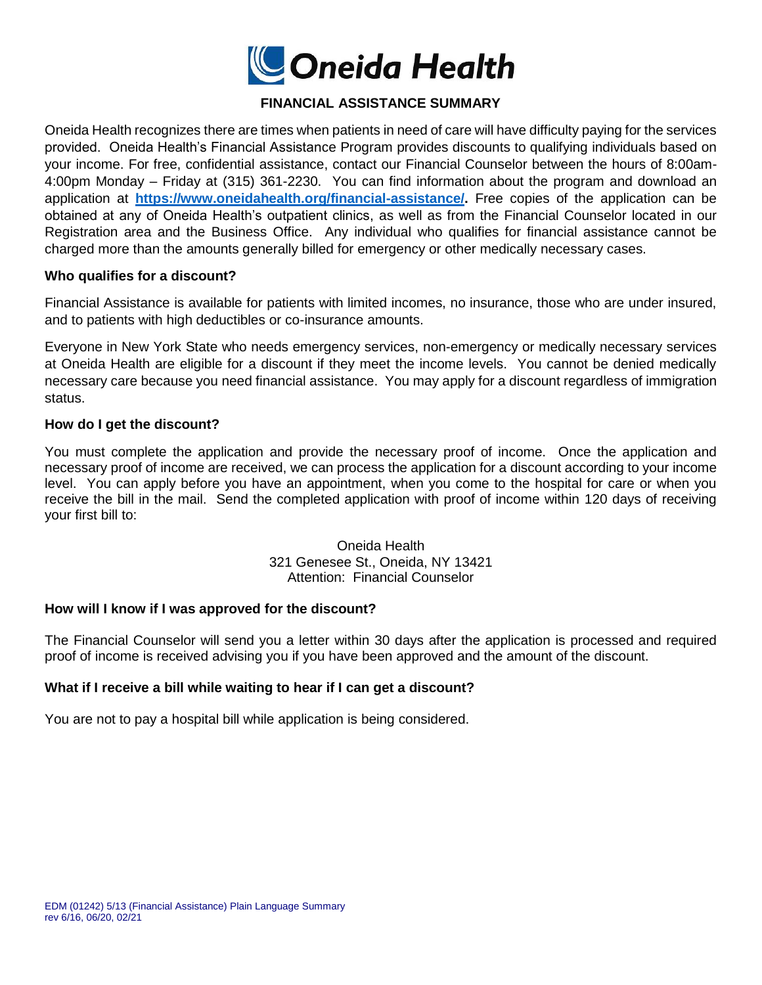

# **FINANCIAL ASSISTANCE SUMMARY**

Oneida Health recognizes there are times when patients in need of care will have difficulty paying for the services provided. Oneida Health's Financial Assistance Program provides discounts to qualifying individuals based on your income. For free, confidential assistance, contact our Financial Counselor between the hours of 8:00am-4:00pm Monday – Friday at (315) 361-2230. You can find information about the program and download an application at **[https://www.oneidahealth.org/financial-assistance/.](https://www.oneidahealth.org/financial-assistance/)** Free copies of the application can be obtained at any of Oneida Health's outpatient clinics, as well as from the Financial Counselor located in our Registration area and the Business Office. Any individual who qualifies for financial assistance cannot be charged more than the amounts generally billed for emergency or other medically necessary cases.

#### **Who qualifies for a discount?**

Financial Assistance is available for patients with limited incomes, no insurance, those who are under insured, and to patients with high deductibles or co-insurance amounts.

Everyone in New York State who needs emergency services, non-emergency or medically necessary services at Oneida Health are eligible for a discount if they meet the income levels. You cannot be denied medically necessary care because you need financial assistance. You may apply for a discount regardless of immigration status.

#### **How do I get the discount?**

You must complete the application and provide the necessary proof of income. Once the application and necessary proof of income are received, we can process the application for a discount according to your income level. You can apply before you have an appointment, when you come to the hospital for care or when you receive the bill in the mail. Send the completed application with proof of income within 120 days of receiving your first bill to:

> Oneida Health 321 Genesee St., Oneida, NY 13421 Attention: Financial Counselor

### **How will I know if I was approved for the discount?**

The Financial Counselor will send you a letter within 30 days after the application is processed and required proof of income is received advising you if you have been approved and the amount of the discount.

### **What if I receive a bill while waiting to hear if I can get a discount?**

You are not to pay a hospital bill while application is being considered.